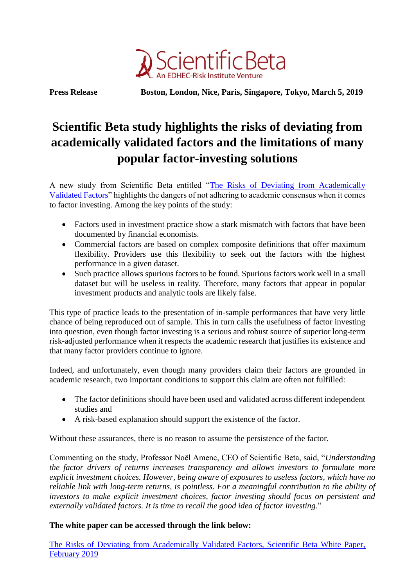

**Press Release Boston, London, Nice, Paris, Singapore, Tokyo, March 5, 2019**

# **Scientific Beta study highlights the risks of deviating from academically validated factors and the limitations of many popular factor-investing solutions**

A new study from Scientific Beta entitled ["The Risks of Deviating from Academically](http://docs.scientificbeta.com/Library/External/White_Papers/Scientific_Beta_Publication_The_Risks_of_Deviating_from_Academically-Validated_Factors)  [Validated Factors"](http://docs.scientificbeta.com/Library/External/White_Papers/Scientific_Beta_Publication_The_Risks_of_Deviating_from_Academically-Validated_Factors) highlights the dangers of not adhering to academic consensus when it comes to factor investing. Among the key points of the study:

- Factors used in investment practice show a stark mismatch with factors that have been documented by financial economists.
- Commercial factors are based on complex composite definitions that offer maximum flexibility. Providers use this flexibility to seek out the factors with the highest performance in a given dataset.
- Such practice allows spurious factors to be found. Spurious factors work well in a small dataset but will be useless in reality. Therefore, many factors that appear in popular investment products and analytic tools are likely false.

This type of practice leads to the presentation of in-sample performances that have very little chance of being reproduced out of sample. This in turn calls the usefulness of factor investing into question, even though factor investing is a serious and robust source of superior long-term risk-adjusted performance when it respects the academic research that justifies its existence and that many factor providers continue to ignore.

Indeed, and unfortunately, even though many providers claim their factors are grounded in academic research, two important conditions to support this claim are often not fulfilled:

- The factor definitions should have been used and validated across different independent studies and
- A risk-based explanation should support the existence of the factor.

Without these assurances, there is no reason to assume the persistence of the factor.

Commenting on the study, Professor Noël Amenc, CEO of Scientific Beta, said, "*Understanding the factor drivers of returns increases transparency and allows investors to formulate more explicit investment choices. However, being aware of exposures to useless factors, which have no reliable link with long-term returns, is pointless. For a meaningful contribution to the ability of investors to make explicit investment choices, factor investing should focus on persistent and externally validated factors. It is time to recall the good idea of factor investing.*"

## **The white paper can be accessed through the link below:**

[The Risks of Deviating from Academically Validated Factors, Scientific Beta White Paper,](http://docs.scientificbeta.com/Library/External/White_Papers/Scientific_Beta_Publication_The_Risks_of_Deviating_from_Academically-Validated_Factors)  [February 2019](http://docs.scientificbeta.com/Library/External/White_Papers/Scientific_Beta_Publication_The_Risks_of_Deviating_from_Academically-Validated_Factors)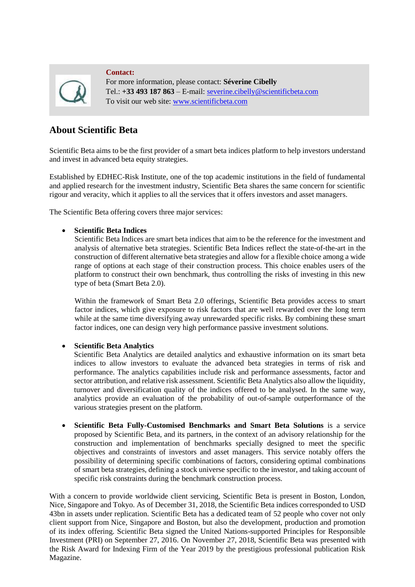

**Contact:** For more information, please contact: **Séverine Cibelly** Tel.: **+33 493 187 863** – E-mail: [severine.cibelly@scientificbeta.com](mailto:severine.cibelly@scientificbeta.com) To visit our web site: [www.scientificbeta.com](http://www.scientificbeta.com/)

## **About Scientific Beta**

Scientific Beta aims to be the first provider of a smart beta indices platform to help investors understand and invest in advanced beta equity strategies.

Established by EDHEC-Risk Institute, one of the top academic institutions in the field of fundamental and applied research for the investment industry, Scientific Beta shares the same concern for scientific rigour and veracity, which it applies to all the services that it offers investors and asset managers.

The Scientific Beta offering covers three major services:

### **Scientific Beta Indices**

Scientific Beta Indices are smart beta indices that aim to be the reference for the investment and analysis of alternative beta strategies. Scientific Beta Indices reflect the state-of-the-art in the construction of different alternative beta strategies and allow for a flexible choice among a wide range of options at each stage of their construction process. This choice enables users of the platform to construct their own benchmark, thus controlling the risks of investing in this new type of beta (Smart Beta 2.0).

Within the framework of Smart Beta 2.0 offerings, Scientific Beta provides access to smart factor indices, which give exposure to risk factors that are well rewarded over the long term while at the same time diversifying away unrewarded specific risks. By combining these smart factor indices, one can design very high performance passive investment solutions.

### **Scientific Beta Analytics**

Scientific Beta Analytics are detailed analytics and exhaustive information on its smart beta indices to allow investors to evaluate the advanced beta strategies in terms of risk and performance. The analytics capabilities include risk and performance assessments, factor and sector attribution, and relative risk assessment. Scientific Beta Analytics also allow the liquidity, turnover and diversification quality of the indices offered to be analysed. In the same way, analytics provide an evaluation of the probability of out-of-sample outperformance of the various strategies present on the platform.

 **Scientific Beta Fully-Customised Benchmarks and Smart Beta Solutions** is a service proposed by Scientific Beta, and its partners, in the context of an advisory relationship for the construction and implementation of benchmarks specially designed to meet the specific objectives and constraints of investors and asset managers. This service notably offers the possibility of determining specific combinations of factors, considering optimal combinations of smart beta strategies, defining a stock universe specific to the investor, and taking account of specific risk constraints during the benchmark construction process.

With a concern to provide worldwide client servicing, Scientific Beta is present in Boston, London, Nice, Singapore and Tokyo. As of December 31, 2018, the Scientific Beta indices corresponded to USD 43bn in assets under replication. Scientific Beta has a dedicated team of 52 people who cover not only client support from Nice, Singapore and Boston, but also the development, production and promotion of its index offering. Scientific Beta signed the United Nations-supported Principles for Responsible Investment (PRI) on September 27, 2016. On November 27, 2018, Scientific Beta was presented with the Risk Award for Indexing Firm of the Year 2019 by the prestigious professional publication Risk Magazine.